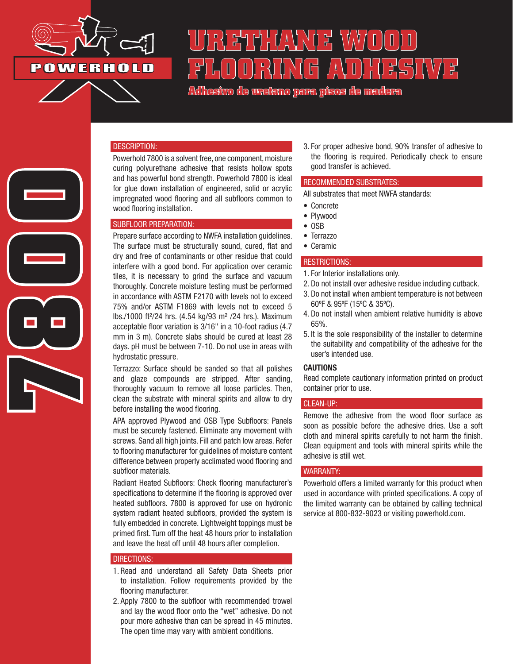

**7800**

# **URETHANE WOOD FLOORING ADHESIVE**

**Adhesivo de uretano para pisos de madera**

#### DESCRIPTION:

Powerhold 7800 is a solvent free, one component, moisture curing polyurethane adhesive that resists hollow spots and has powerful bond strength. Powerhold 7800 is ideal for glue down installation of engineered, solid or acrylic impregnated wood flooring and all subfloors common to wood flooring installation.

#### SUBFLOOR PREPARATION:

Prepare surface according to NWFA installation guidelines. The surface must be structurally sound, cured, flat and dry and free of contaminants or other residue that could interfere with a good bond. For application over ceramic tiles, it is necessary to grind the surface and vacuum thoroughly. Concrete moisture testing must be performed in accordance with ASTM F2170 with levels not to exceed 75% and/or ASTM F1869 with levels not to exceed 5 lbs./1000 ft²/24 hrs. (4.54 kg/93 m² /24 hrs.). Maximum acceptable floor variation is 3/16" in a 10-foot radius (4.7 mm in 3 m). Concrete slabs should be cured at least 28 days. pH must be between 7-10. Do not use in areas with hydrostatic pressure.

Terrazzo: Surface should be sanded so that all polishes and glaze compounds are stripped. After sanding, thoroughly vacuum to remove all loose particles. Then, clean the substrate with mineral spirits and allow to dry before installing the wood flooring.

APA approved Plywood and OSB Type Subfloors: Panels must be securely fastened. Eliminate any movement with screws. Sand all high joints. Fill and patch low areas. Refer to flooring manufacturer for guidelines of moisture content difference between properly acclimated wood flooring and subfloor materials.

Radiant Heated Subfloors: Check flooring manufacturer's specifications to determine if the flooring is approved over heated subfloors. 7800 is approved for use on hydronic system radiant heated subfloors, provided the system is fully embedded in concrete. Lightweight toppings must be primed first. Turn off the heat 48 hours prior to installation and leave the heat off until 48 hours after completion.

#### DIRECTIONS:

- 1. Read and understand all Safety Data Sheets prior to installation. Follow requirements provided by the flooring manufacturer.
- 2. Apply 7800 to the subfloor with recommended trowel and lay the wood floor onto the "wet" adhesive. Do not pour more adhesive than can be spread in 45 minutes. The open time may vary with ambient conditions.

3. For proper adhesive bond, 90% transfer of adhesive to the flooring is required. Periodically check to ensure good transfer is achieved.

#### RECOMMENDED SUBSTRATES:

All substrates that meet NWFA standards:

- Concrete
- Plywood
- OSB
- Terrazzo
- Ceramic

#### RESTRICTIONS:

- 1. For Interior installations only.
- 2. Do not install over adhesive residue including cutback.
- 3. Do not install when ambient temperature is not between 60ºF & 95ºF (15ºC & 35ºC).
- 4. Do not install when ambient relative humidity is above 65%.
- 5. It is the sole responsibility of the installer to determine the suitability and compatibility of the adhesive for the user's intended use.

## CAUTIONS

Read complete cautionary information printed on product container prior to use.

### CLEAN-UP:

Remove the adhesive from the wood floor surface as soon as possible before the adhesive dries. Use a soft cloth and mineral spirits carefully to not harm the finish. Clean equipment and tools with mineral spirits while the adhesive is still wet.

#### WARRANTY:

Powerhold offers a limited warranty for this product when used in accordance with printed specifications. A copy of the limited warranty can be obtained by calling technical service at 800-832-9023 or visiting powerhold.com.